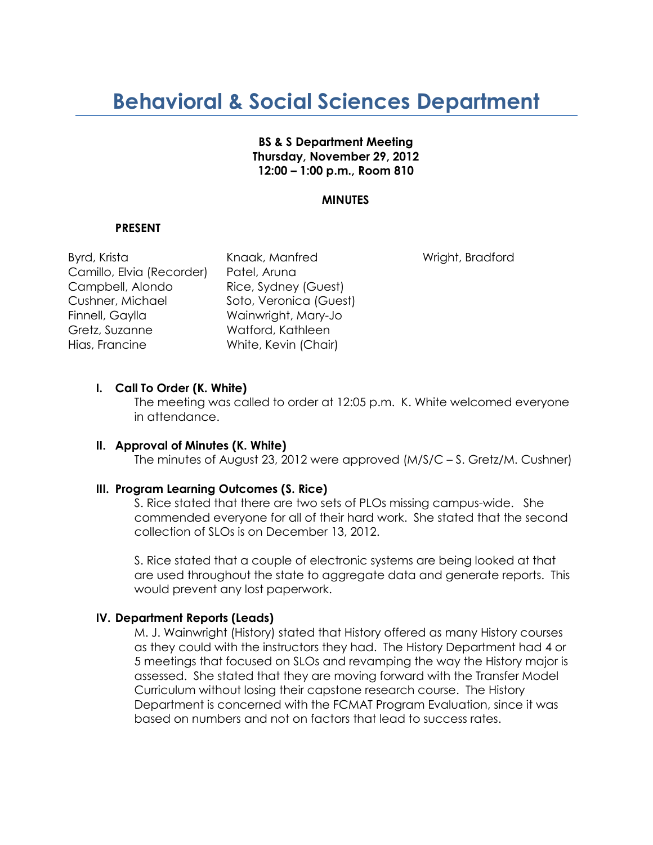# **Behavioral & Social Sciences Department**

## **BS & S Department Meeting Thursday, November 29, 2012 12:00 – 1:00 p.m., Room 810**

## **MINUTES**

#### **PRESENT**

Byrd, Krista Knaak, Manfred Wright, Bradford Camillo, Elvia (Recorder) Patel, Aruna Campbell, Alondo Rice, Sydney (Guest) Cushner, Michael Soto, Veronica (Guest) Finnell, Gaylla Wainwright, Mary-Jo Gretz, Suzanne Watford, Kathleen Hias, Francine White, Kevin (Chair)

#### **I. Call To Order (K. White)**

The meeting was called to order at 12:05 p.m. K. White welcomed everyone in attendance.

#### **II. Approval of Minutes (K. White)**

The minutes of August 23, 2012 were approved (M/S/C – S. Gretz/M. Cushner)

#### **III. Program Learning Outcomes (S. Rice)**

S. Rice stated that there are two sets of PLOs missing campus-wide. She commended everyone for all of their hard work. She stated that the second collection of SLOs is on December 13, 2012.

S. Rice stated that a couple of electronic systems are being looked at that are used throughout the state to aggregate data and generate reports. This would prevent any lost paperwork.

### **IV. Department Reports (Leads)**

M. J. Wainwright (History) stated that History offered as many History courses as they could with the instructors they had. The History Department had 4 or 5 meetings that focused on SLOs and revamping the way the History major is assessed. She stated that they are moving forward with the Transfer Model Curriculum without losing their capstone research course. The History Department is concerned with the FCMAT Program Evaluation, since it was based on numbers and not on factors that lead to success rates.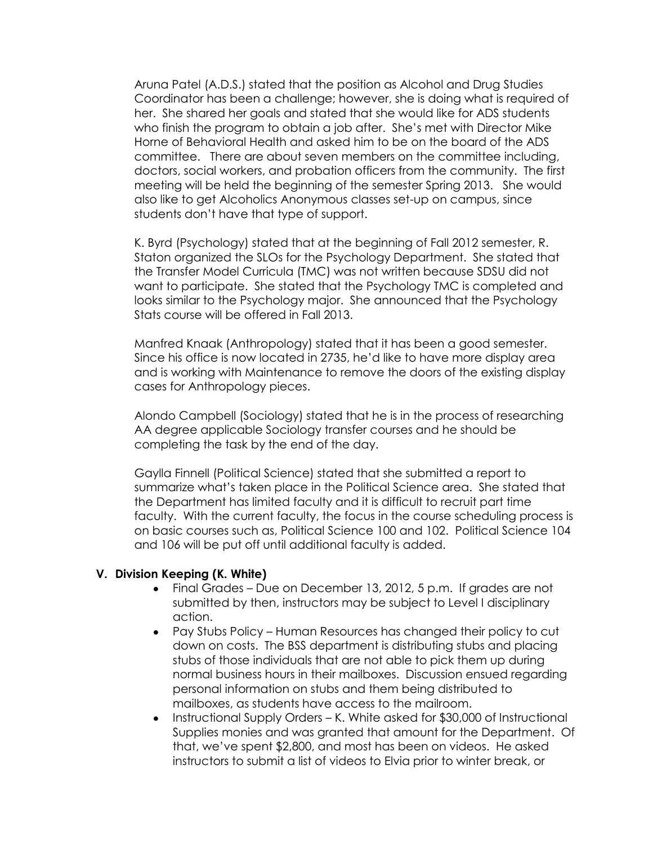Aruna Patel (A.D.S.) stated that the position as Alcohol and Drug Studies Coordinator has been a challenge; however, she is doing what is required of her. She shared her goals and stated that she would like for ADS students who finish the program to obtain a job after. She's met with Director Mike Horne of Behavioral Health and asked him to be on the board of the ADS committee. There are about seven members on the committee including, doctors, social workers, and probation officers from the community. The first meeting will be held the beginning of the semester Spring 2013. She would also like to get Alcoholics Anonymous classes set-up on campus, since students don't have that type of support.

K. Byrd (Psychology) stated that at the beginning of Fall 2012 semester, R. Staton organized the SLOs for the Psychology Department. She stated that the Transfer Model Curricula (TMC) was not written because SDSU did not want to participate. She stated that the Psychology TMC is completed and looks similar to the Psychology major. She announced that the Psychology Stats course will be offered in Fall 2013.

Manfred Knaak (Anthropology) stated that it has been a good semester. Since his office is now located in 2735, he'd like to have more display area and is working with Maintenance to remove the doors of the existing display cases for Anthropology pieces.

Alondo Campbell (Sociology) stated that he is in the process of researching AA degree applicable Sociology transfer courses and he should be completing the task by the end of the day.

Gaylla Finnell (Political Science) stated that she submitted a report to summarize what's taken place in the Political Science area. She stated that the Department has limited faculty and it is difficult to recruit part time faculty. With the current faculty, the focus in the course scheduling process is on basic courses such as, Political Science 100 and 102. Political Science 104 and 106 will be put off until additional faculty is added.

#### **V. Division Keeping (K. White)**

- Final Grades Due on December 13, 2012, 5 p.m. If grades are not  $\bullet$ submitted by then, instructors may be subject to Level I disciplinary action.
- Pay Stubs Policy Human Resources has changed their policy to cut down on costs. The BSS department is distributing stubs and placing stubs of those individuals that are not able to pick them up during normal business hours in their mailboxes. Discussion ensued regarding personal information on stubs and them being distributed to mailboxes, as students have access to the mailroom.
- Instructional Supply Orders K. White asked for \$30,000 of Instructional Supplies monies and was granted that amount for the Department. Of that, we've spent \$2,800, and most has been on videos. He asked instructors to submit a list of videos to Elvia prior to winter break, or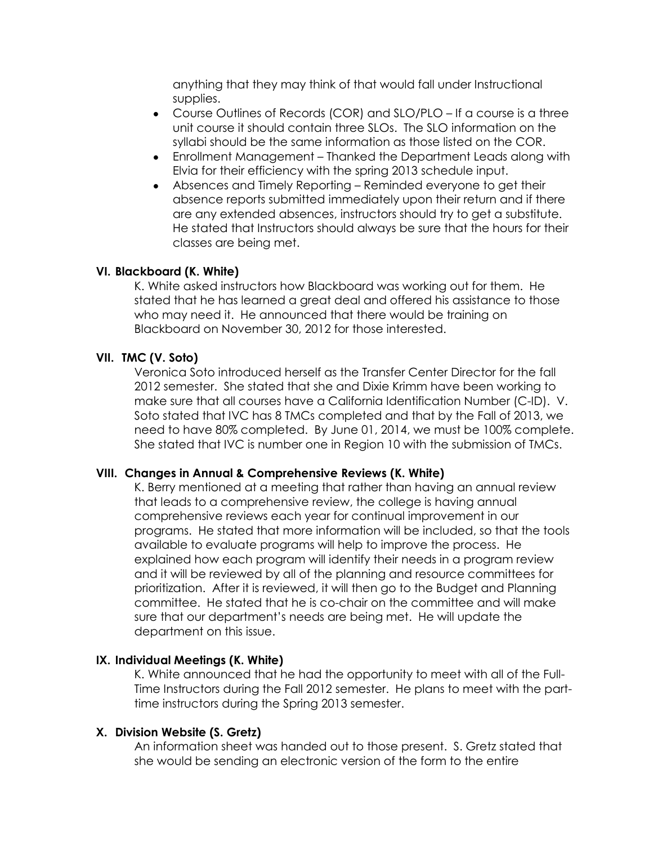anything that they may think of that would fall under Instructional supplies.

- Course Outlines of Records (COR) and SLO/PLO If a course is a three  $\bullet$ unit course it should contain three SLOs. The SLO information on the syllabi should be the same information as those listed on the COR.
- $\bullet$ Enrollment Management – Thanked the Department Leads along with Elvia for their efficiency with the spring 2013 schedule input.
- Absences and Timely Reporting Reminded everyone to get their absence reports submitted immediately upon their return and if there are any extended absences, instructors should try to get a substitute. He stated that Instructors should always be sure that the hours for their classes are being met.

## **VI. Blackboard (K. White)**

K. White asked instructors how Blackboard was working out for them. He stated that he has learned a great deal and offered his assistance to those who may need it. He announced that there would be training on Blackboard on November 30, 2012 for those interested.

#### **VII. TMC (V. Soto)**

Veronica Soto introduced herself as the Transfer Center Director for the fall 2012 semester. She stated that she and Dixie Krimm have been working to make sure that all courses have a California Identification Number (C-ID). V. Soto stated that IVC has 8 TMCs completed and that by the Fall of 2013, we need to have 80% completed. By June 01, 2014, we must be 100% complete. She stated that IVC is number one in Region 10 with the submission of TMCs.

#### **VIII. Changes in Annual & Comprehensive Reviews (K. White)**

K. Berry mentioned at a meeting that rather than having an annual review that leads to a comprehensive review, the college is having annual comprehensive reviews each year for continual improvement in our programs. He stated that more information will be included, so that the tools available to evaluate programs will help to improve the process. He explained how each program will identify their needs in a program review and it will be reviewed by all of the planning and resource committees for prioritization. After it is reviewed, it will then go to the Budget and Planning committee. He stated that he is co-chair on the committee and will make sure that our department's needs are being met. He will update the department on this issue.

## **IX. Individual Meetings (K. White)**

K. White announced that he had the opportunity to meet with all of the Full-Time Instructors during the Fall 2012 semester. He plans to meet with the parttime instructors during the Spring 2013 semester.

#### **X. Division Website (S. Gretz)**

An information sheet was handed out to those present. S. Gretz stated that she would be sending an electronic version of the form to the entire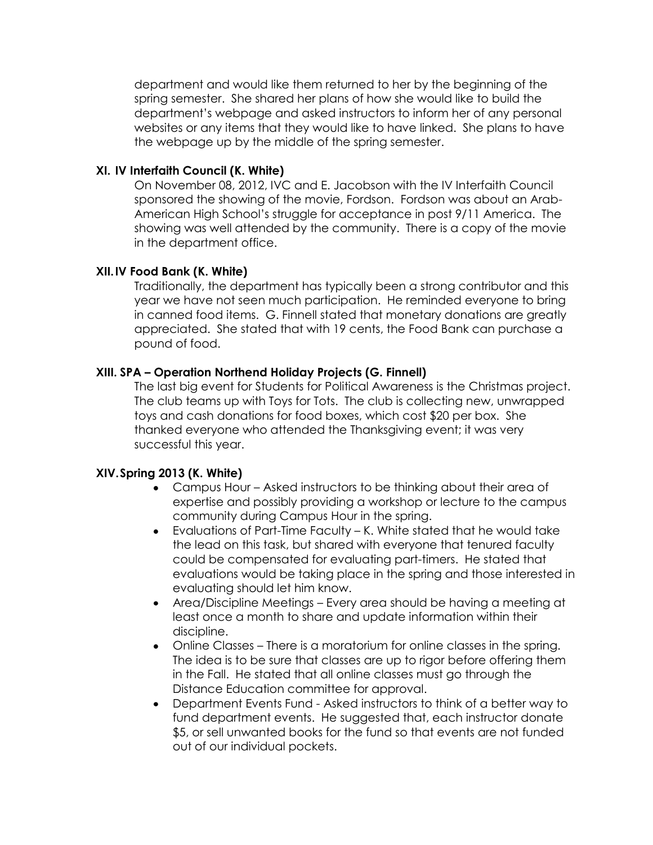department and would like them returned to her by the beginning of the spring semester. She shared her plans of how she would like to build the department's webpage and asked instructors to inform her of any personal websites or any items that they would like to have linked. She plans to have the webpage up by the middle of the spring semester.

# **XI. IV Interfaith Council (K. White)**

On November 08, 2012, IVC and E. Jacobson with the IV Interfaith Council sponsored the showing of the movie, Fordson. Fordson was about an Arab-American High School's struggle for acceptance in post 9/11 America. The showing was well attended by the community. There is a copy of the movie in the department office.

# **XII.IV Food Bank (K. White)**

Traditionally, the department has typically been a strong contributor and this year we have not seen much participation. He reminded everyone to bring in canned food items. G. Finnell stated that monetary donations are greatly appreciated. She stated that with 19 cents, the Food Bank can purchase a pound of food.

# **XIII. SPA – Operation Northend Holiday Projects (G. Finnell)**

The last big event for Students for Political Awareness is the Christmas project. The club teams up with Toys for Tots. The club is collecting new, unwrapped toys and cash donations for food boxes, which cost \$20 per box. She thanked everyone who attended the Thanksgiving event; it was very successful this year.

# **XIV.Spring 2013 (K. White)**

- Campus Hour Asked instructors to be thinking about their area of expertise and possibly providing a workshop or lecture to the campus community during Campus Hour in the spring.
- Evaluations of Part-Time Faculty K. White stated that he would take  $\bullet$ the lead on this task, but shared with everyone that tenured faculty could be compensated for evaluating part-timers. He stated that evaluations would be taking place in the spring and those interested in evaluating should let him know.
- Area/Discipline Meetings Every area should be having a meeting at least once a month to share and update information within their discipline.
- Online Classes There is a moratorium for online classes in the spring.  $\bullet$ The idea is to be sure that classes are up to rigor before offering them in the Fall. He stated that all online classes must go through the Distance Education committee for approval.
- Department Events Fund Asked instructors to think of a better way to fund department events. He suggested that, each instructor donate \$5, or sell unwanted books for the fund so that events are not funded out of our individual pockets.